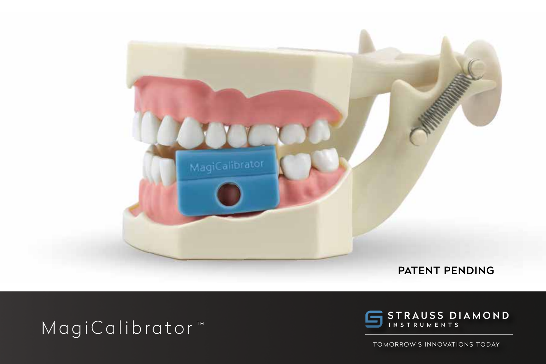

## MagiCalibrator<sup>\*</sup>



TOMORROW'S INNOVATIONS TODAY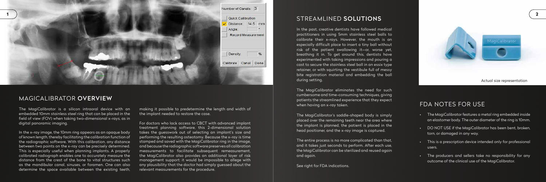## MAGICALIBRATOR OVERVIEW

The MagiCalibrator is a silicon intraoral device with an embedded 10mm stainless steel ring that can be placed in the field of view (FOV) when taking two-dimensional x-rays, as in digital panoramic imaging.

In the x-ray image, the 10mm ring appears as an opaque body of known length, thereby facilitating the calibration function of the radiographic software. With this calibration, any distance between two points on the x-ray can be precisely determined. This is especially useful when planning implants. A properly calibrated radiograph enables one to accurately measure the distance from the crest of the bone to vital structures such as the mandibular canal, sinuses, or foramen. One can also determine the space available between the existing teeth,

making it possible to predetermine the length and width of the implant needed to restore the case.

For doctors who lack access to CBCT with advanced implant treatment planning software, this 2-dimensional solution takes the guesswork out of selecting an implant's size and performing the resulting osteotomy. Because the x-ray is time stamped and saved with the MagiCalibrator ring in the image, and because the radiographic software preserves all calibration measurements to facilitate subsequent remeasurement, the MagiCalibrator also provides an additional layer of risk management support: it would be impossible to allege with any plausibility that the doctor had simply guessed about the relevant measurements for the procedure.



## STREAMLINED SOLUTIONS

In the past, creative dentists have followed medical practitioners in using 5mm stainless steel balls to calibrate their x-rays. However, the mouth is an especially difficult place to insert a tiny ball without risk of the patient swallowing it—or, worse yet, breathing it in. To get around this, dentists have experimented with taking impressions and pouring a cast to secure the stainless steel ball in an essix type retainer, or with squirting the vestibule full of messy bite registration material and embedding the ball during setting.

The MagiCalibrator eliminates the need for such cumbersome and time-consuming techniques, giving patients the streamlined experience that they expect when having an x-ray taken.

The MagiCalibrator's saddle-shaped body is simply placed over the remaining teeth near the area where the implant is planned, the patient is placed in the head positioner, and the x-ray image is captured.

The entire process is no more complicated than that, and it takes just seconds to perform. After each use, the MagiCalibrator can be sterilized and reused again and again.

See right for FDA indications.



- The MagiCalibrator features a metal ring embedded inside an elastomer body. The outer diameter of the ring is 10mm.
- DO NOT USE if the MagiCalibrator has been bent, broken, torn, or damaged in any way.
- This is a prescription device intended only for professional users.
- The producers and sellers take no responsibility for any outcome of the clinical use of the MagiCalibrator.

## FDA NOTES FOR USE

Actual size representation